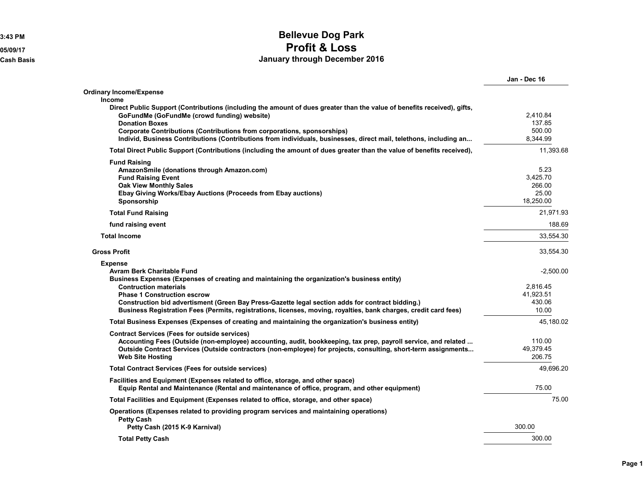## **3:43 PM Bellevue Dog Park 05/09/17 Profit & Loss Cash Basis January through December 2016**

|                                                                                                                                                                                                                                                                                                                                                                                                                                                  | Jan - Dec 16                                            |
|--------------------------------------------------------------------------------------------------------------------------------------------------------------------------------------------------------------------------------------------------------------------------------------------------------------------------------------------------------------------------------------------------------------------------------------------------|---------------------------------------------------------|
| Ordinary Income/Expense                                                                                                                                                                                                                                                                                                                                                                                                                          |                                                         |
| <b>Income</b><br>Direct Public Support (Contributions (including the amount of dues greater than the value of benefits received), gifts,<br>GoFundMe (GoFundMe (crowd funding) website)<br><b>Donation Boxes</b><br><b>Corporate Contributions (Contributions from corporations, sponsorships)</b><br>Individ, Business Contributions (Contributions from individuals, businesses, direct mail, telethons, including an                          | 2.410.84<br>137.85<br>500.00<br>8,344.99                |
| Total Direct Public Support (Contributions (including the amount of dues greater than the value of benefits received),                                                                                                                                                                                                                                                                                                                           | 11,393.68                                               |
| <b>Fund Raising</b><br>AmazonSmile (donations through Amazon.com)<br><b>Fund Raising Event</b><br><b>Oak View Monthly Sales</b><br>Ebay Giving Works/Ebay Auctions (Proceeds from Ebay auctions)<br>Sponsorship                                                                                                                                                                                                                                  | 5.23<br>3,425.70<br>266.00<br>25.00<br>18,250.00        |
| <b>Total Fund Raising</b>                                                                                                                                                                                                                                                                                                                                                                                                                        | 21,971.93                                               |
| fund raising event                                                                                                                                                                                                                                                                                                                                                                                                                               | 188.69                                                  |
| <b>Total Income</b>                                                                                                                                                                                                                                                                                                                                                                                                                              | 33,554.30                                               |
| <b>Gross Profit</b>                                                                                                                                                                                                                                                                                                                                                                                                                              | 33,554.30                                               |
| <b>Expense</b><br><b>Avram Berk Charitable Fund</b><br>Business Expenses (Expenses of creating and maintaining the organization's business entity)<br><b>Contruction materials</b><br><b>Phase 1 Construction escrow</b><br>Construction bid advertisment (Green Bay Press-Gazette legal section adds for contract bidding.)<br>Business Registration Fees (Permits, registrations, licenses, moving, royalties, bank charges, credit card fees) | $-2,500.00$<br>2,816.45<br>41,923.51<br>430.06<br>10.00 |
| Total Business Expenses (Expenses of creating and maintaining the organization's business entity)                                                                                                                                                                                                                                                                                                                                                | 45,180.02                                               |
| <b>Contract Services (Fees for outside services)</b><br>Accounting Fees (Outside (non-employee) accounting, audit, bookkeeping, tax prep, payroll service, and related<br>Outside Contract Services (Outside contractors (non-employee) for projects, consulting, short-term assignments<br><b>Web Site Hosting</b>                                                                                                                              | 110.00<br>49,379.45<br>206.75                           |
| <b>Total Contract Services (Fees for outside services)</b>                                                                                                                                                                                                                                                                                                                                                                                       | 49,696.20                                               |
| Facilities and Equipment (Expenses related to office, storage, and other space)<br>Equip Rental and Maintenance (Rental and maintenance of office, program, and other equipment)                                                                                                                                                                                                                                                                 | 75.00                                                   |
| Total Facilities and Equipment (Expenses related to office, storage, and other space)                                                                                                                                                                                                                                                                                                                                                            | 75.00                                                   |
| Operations (Expenses related to providing program services and maintaining operations)<br><b>Petty Cash</b>                                                                                                                                                                                                                                                                                                                                      |                                                         |
| Petty Cash (2015 K-9 Karnival)                                                                                                                                                                                                                                                                                                                                                                                                                   | 300.00                                                  |
| <b>Total Petty Cash</b>                                                                                                                                                                                                                                                                                                                                                                                                                          | 300.00                                                  |